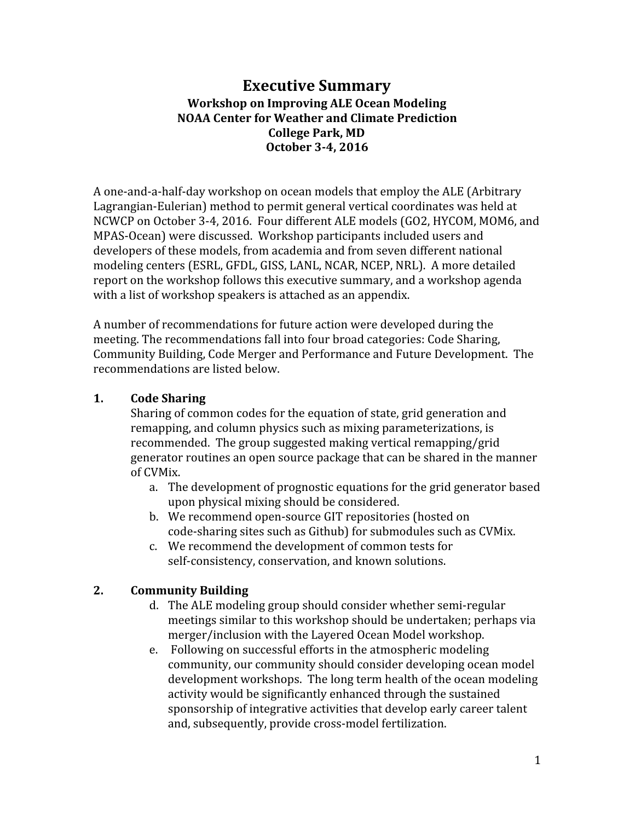# **Executive Summary Workshop on Improving ALE Ocean Modeling NOAA Center for Weather and Climate Prediction College Park, MD October 3-4, 2016**

A one-and-a-half-day workshop on ocean models that employ the ALE (Arbitrary Lagrangian-Eulerian) method to permit general vertical coordinates was held at NCWCP on October 3-4, 2016. Four different ALE models (GO2, HYCOM, MOM6, and MPAS-Ocean) were discussed. Workshop participants included users and developers of these models, from academia and from seven different national modeling centers (ESRL, GFDL, GISS, LANL, NCAR, NCEP, NRL). A more detailed report on the workshop follows this executive summary, and a workshop agenda with a list of workshop speakers is attached as an appendix.

A number of recommendations for future action were developed during the meeting. The recommendations fall into four broad categories: Code Sharing, Community Building, Code Merger and Performance and Future Development. The recommendations are listed below.

## **1. Code Sharing**

Sharing of common codes for the equation of state, grid generation and remapping, and column physics such as mixing parameterizations, is recommended. The group suggested making vertical remapping/grid generator routines an open source package that can be shared in the manner of CVMix.

- a. The development of prognostic equations for the grid generator based upon physical mixing should be considered.
- b. We recommend open-source GIT repositories (hosted on code-sharing sites such as Github) for submodules such as CVMix.
- c. We recommend the development of common tests for self-consistency, conservation, and known solutions.

## **2. Community Building**

- d. The ALE modeling group should consider whether semi-regular meetings similar to this workshop should be undertaken; perhaps via merger/inclusion with the Layered Ocean Model workshop.
- e. Following on successful efforts in the atmospheric modeling community, our community should consider developing ocean model development workshops. The long term health of the ocean modeling activity would be significantly enhanced through the sustained sponsorship of integrative activities that develop early career talent and, subsequently, provide cross-model fertilization.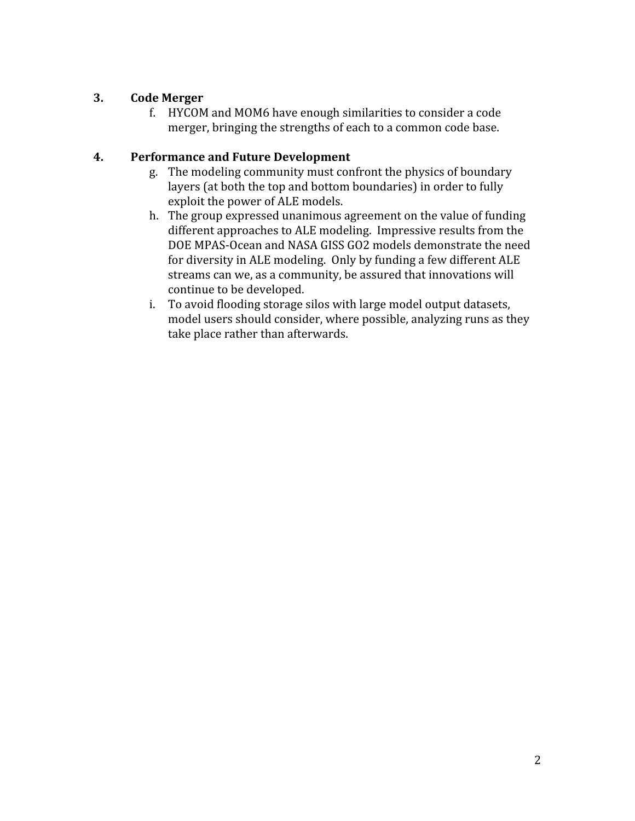# **3. Code Merger**

f. HYCOM and MOM6 have enough similarities to consider a code merger, bringing the strengths of each to a common code base.

## **4. Performance and Future Development**

- g. The modeling community must confront the physics of boundary layers (at both the top and bottom boundaries) in order to fully exploit the power of ALE models.
- h. The group expressed unanimous agreement on the value of funding different approaches to ALE modeling. Impressive results from the DOE MPAS-Ocean and NASA GISS GO2 models demonstrate the need for diversity in ALE modeling. Only by funding a few different ALE streams can we, as a community, be assured that innovations will continue to be developed.
- i. To avoid flooding storage silos with large model output datasets, model users should consider, where possible, analyzing runs as they take place rather than afterwards.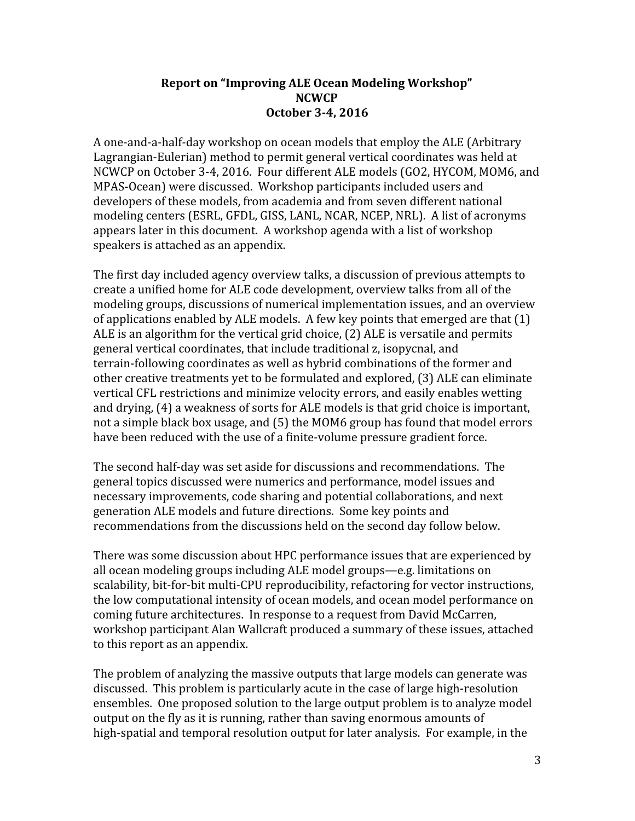#### **Report on "Improving ALE Ocean Modeling Workshop" NCWCP October 3-4, 2016**

A one-and-a-half-day workshop on ocean models that employ the ALE (Arbitrary Lagrangian-Eulerian) method to permit general vertical coordinates was held at NCWCP on October 3-4, 2016. Four different ALE models (GO2, HYCOM, MOM6, and MPAS-Ocean) were discussed. Workshop participants included users and developers of these models, from academia and from seven different national modeling centers (ESRL, GFDL, GISS, LANL, NCAR, NCEP, NRL). A list of acronyms appears later in this document. A workshop agenda with a list of workshop speakers is attached as an appendix.

The first day included agency overview talks, a discussion of previous attempts to create a unified home for ALE code development, overview talks from all of the modeling groups, discussions of numerical implementation issues, and an overview of applications enabled by ALE models. A few key points that emerged are that (1) ALE is an algorithm for the vertical grid choice, (2) ALE is versatile and permits general vertical coordinates, that include traditional z, isopycnal, and terrain-following coordinates as well as hybrid combinations of the former and other creative treatments yet to be formulated and explored, (3) ALE can eliminate vertical CFL restrictions and minimize velocity errors, and easily enables wetting and drying, (4) a weakness of sorts for ALE models is that grid choice is important, not a simple black box usage, and (5) the MOM6 group has found that model errors have been reduced with the use of a finite-volume pressure gradient force.

The second half-day was set aside for discussions and recommendations. The general topics discussed were numerics and performance, model issues and necessary improvements, code sharing and potential collaborations, and next generation ALE models and future directions. Some key points and recommendations from the discussions held on the second day follow below.

There was some discussion about HPC performance issues that are experienced by all ocean modeling groups including ALE model groups—e.g. limitations on scalability, bit-for-bit multi-CPU reproducibility, refactoring for vector instructions, the low computational intensity of ocean models, and ocean model performance on coming future architectures. In response to a request from David McCarren, workshop participant Alan Wallcraft produced a summary of these issues, attached to this report as an appendix.

The problem of analyzing the massive outputs that large models can generate was discussed. This problem is particularly acute in the case of large high-resolution ensembles. One proposed solution to the large output problem is to analyze model output on the fly as it is running, rather than saving enormous amounts of high-spatial and temporal resolution output for later analysis. For example, in the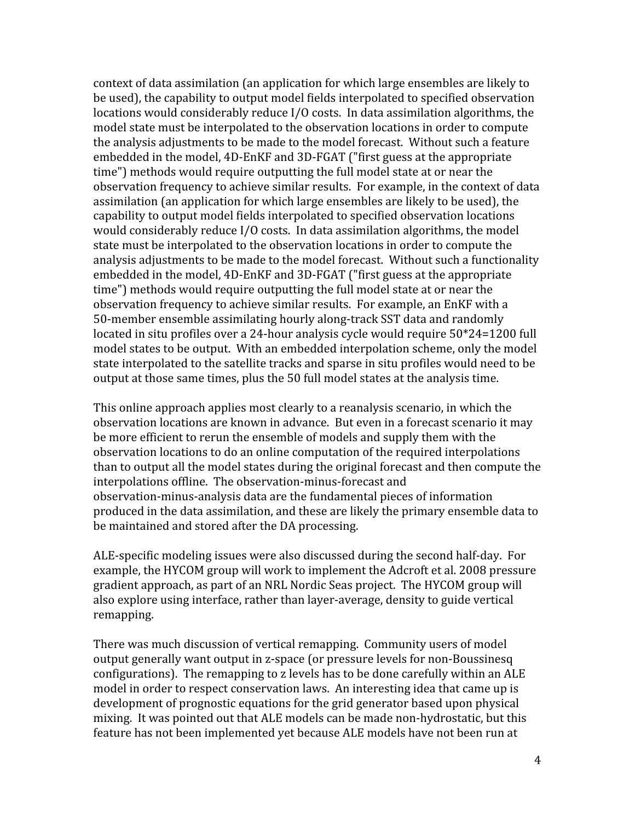context of data assimilation (an application for which large ensembles are likely to be used), the capability to output model fields interpolated to specified observation locations would considerably reduce I/O costs. In data assimilation algorithms, the model state must be interpolated to the observation locations in order to compute the analysis adjustments to be made to the model forecast. Without such a feature embedded in the model, 4D-EnKF and 3D-FGAT ("first guess at the appropriate time") methods would require outputting the full model state at or near the observation frequency to achieve similar results. For example, in the context of data assimilation (an application for which large ensembles are likely to be used), the capability to output model fields interpolated to specified observation locations would considerably reduce I/O costs. In data assimilation algorithms, the model state must be interpolated to the observation locations in order to compute the analysis adjustments to be made to the model forecast. Without such a functionality embedded in the model, 4D-EnKF and 3D-FGAT ("first guess at the appropriate time") methods would require outputting the full model state at or near the observation frequency to achieve similar results. For example, an EnKF with a 50-member ensemble assimilating hourly along-track SST data and randomly located in situ profiles over a 24-hour analysis cycle would require 50\*24=1200 full model states to be output. With an embedded interpolation scheme, only the model state interpolated to the satellite tracks and sparse in situ profiles would need to be output at those same times, plus the 50 full model states at the analysis time.

This online approach applies most clearly to a reanalysis scenario, in which the observation locations are known in advance. But even in a forecast scenario it may be more efficient to rerun the ensemble of models and supply them with the observation locations to do an online computation of the required interpolations than to output all the model states during the original forecast and then compute the interpolations offline. The observation-minus-forecast and observation-minus-analysis data are the fundamental pieces of information produced in the data assimilation, and these are likely the primary ensemble data to be maintained and stored after the DA processing.

ALE-specific modeling issues were also discussed during the second half-day. For example, the HYCOM group will work to implement the Adcroft et al. 2008 pressure gradient approach, as part of an NRL Nordic Seas project. The HYCOM group will also explore using interface, rather than layer-average, density to guide vertical remapping.

There was much discussion of vertical remapping. Community users of model output generally want output in z-space (or pressure levels for non-Boussinesq configurations). The remapping to z levels has to be done carefully within an ALE model in order to respect conservation laws. An interesting idea that came up is development of prognostic equations for the grid generator based upon physical mixing. It was pointed out that ALE models can be made non-hydrostatic, but this feature has not been implemented yet because ALE models have not been run at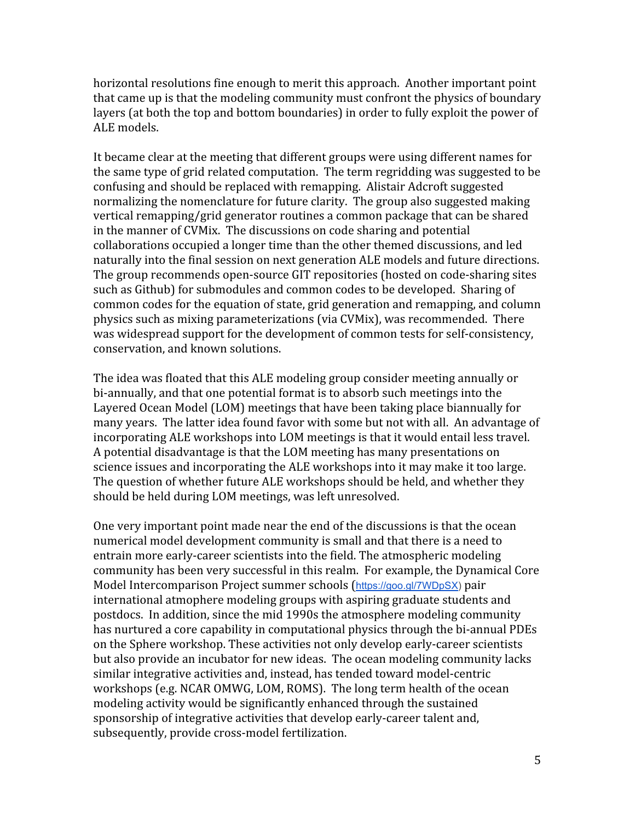horizontal resolutions fine enough to merit this approach. Another important point that came up is that the modeling community must confront the physics of boundary layers (at both the top and bottom boundaries) in order to fully exploit the power of ALE models.

It became clear at the meeting that different groups were using different names for the same type of grid related computation. The term regridding was suggested to be confusing and should be replaced with remapping. Alistair Adcroft suggested normalizing the nomenclature for future clarity. The group also suggested making vertical remapping/grid generator routines a common package that can be shared in the manner of CVMix. The discussions on code sharing and potential collaborations occupied a longer time than the other themed discussions, and led naturally into the final session on next generation ALE models and future directions. The group recommends open-source GIT repositories (hosted on code-sharing sites such as Github) for submodules and common codes to be developed. Sharing of common codes for the equation of state, grid generation and remapping, and column physics such as mixing parameterizations (via CVMix), was recommended. There was widespread support for the development of common tests for self-consistency, conservation, and known solutions.

The idea was floated that this ALE modeling group consider meeting annually or bi-annually, and that one potential format is to absorb such meetings into the Layered Ocean Model (LOM) meetings that have been taking place biannually for many years. The latter idea found favor with some but not with all. An advantage of incorporating ALE workshops into LOM meetings is that it would entail less travel. A potential disadvantage is that the LOM meeting has many presentations on science issues and incorporating the ALE workshops into it may make it too large. The question of whether future ALE workshops should be held, and whether they should be held during LOM meetings, was left unresolved.

One very important point made near the end of the discussions is that the ocean numerical model development community is small and that there is a need to entrain more early-career scientists into the field. The atmospheric modeling community has been very successful in this realm. For example, the Dynamical Core Model Intercomparison Project summer schools ([https://goo.gl/7WDpSX\)](https://goo.gl/7WDpSX) pair international atmophere modeling groups with aspiring graduate students and postdocs. In addition, since the mid 1990s the atmosphere modeling community has nurtured a core capability in computational physics through the bi-annual PDEs on the Sphere workshop. These activities not only develop early-career scientists but also provide an incubator for new ideas. The ocean modeling community lacks similar integrative activities and, instead, has tended toward model-centric workshops (e.g. NCAR OMWG, LOM, ROMS). The long term health of the ocean modeling activity would be significantly enhanced through the sustained sponsorship of integrative activities that develop early-career talent and, subsequently, provide cross-model fertilization.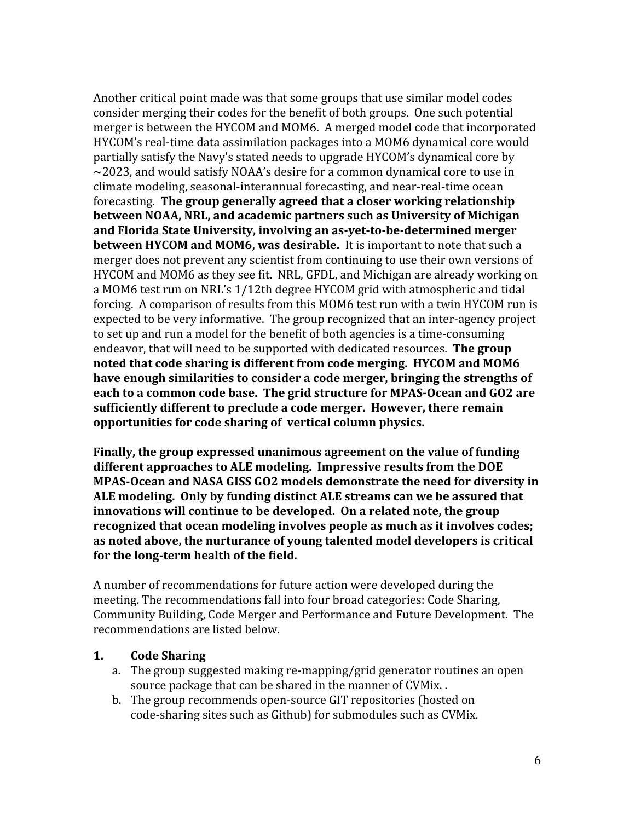Another critical point made was that some groups that use similar model codes consider merging their codes for the benefit of both groups. One such potential merger is between the HYCOM and MOM6. A merged model code that incorporated HYCOM's real-time data assimilation packages into a MOM6 dynamical core would partially satisfy the Navy's stated needs to upgrade HYCOM's dynamical core by  $\sim$ 2023, and would satisfy NOAA's desire for a common dynamical core to use in climate modeling, seasonal-interannual forecasting, and near-real-time ocean forecasting. **The group generally agreed that a closer working relationship between NOAA, NRL, and academic partners such as University of Michigan and Florida State University, involving an as-yet-to-be-determined merger between HYCOM and MOM6, was desirable.** It is important to note that such a merger does not prevent any scientist from continuing to use their own versions of HYCOM and MOM6 as they see fit. NRL, GFDL, and Michigan are already working on a MOM6 test run on NRL's 1/12th degree HYCOM grid with atmospheric and tidal forcing. A comparison of results from this MOM6 test run with a twin HYCOM run is expected to be very informative. The group recognized that an inter-agency project to set up and run a model for the benefit of both agencies is a time-consuming endeavor, that will need to be supported with dedicated resources. **The group noted that code sharing is different from code merging. HYCOM and MOM6 have enough similarities to consider a code merger, bringing the strengths of each to a common code base. The grid structure for MPAS-Ocean and GO2 are sufficiently different to preclude a code merger. However, there remain opportunities for code sharing of vertical column physics.**

**Finally, the group expressed unanimous agreement on the value of funding different approaches to ALE modeling. Impressive results from the DOE MPAS-Ocean and NASA GISS GO2 models demonstrate the need for diversity in ALE modeling. Only by funding distinct ALE streams can we be assured that innovations will continue to be developed. On a related note, the group recognized that ocean modeling involves people as much as it involves codes; as noted above, the nurturance of young talented model developers is critical for the long-term health of the field.**

A number of recommendations for future action were developed during the meeting. The recommendations fall into four broad categories: Code Sharing, Community Building, Code Merger and Performance and Future Development. The recommendations are listed below.

## **1. Code Sharing**

- a. The group suggested making re-mapping/grid generator routines an open source package that can be shared in the manner of CVMix. .
- b. The group recommends open-source GIT repositories (hosted on code-sharing sites such as Github) for submodules such as CVMix.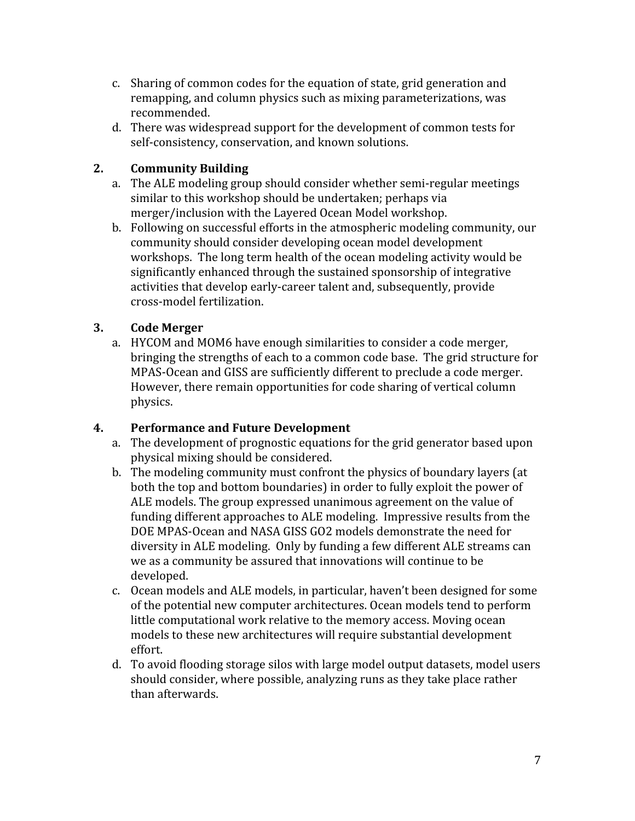- c. Sharing of common codes for the equation of state, grid generation and remapping, and column physics such as mixing parameterizations, was recommended.
- d. There was widespread support for the development of common tests for self-consistency, conservation, and known solutions.

# **2. Community Building**

- a. The ALE modeling group should consider whether semi-regular meetings similar to this workshop should be undertaken; perhaps via merger/inclusion with the Layered Ocean Model workshop.
- b. Following on successful efforts in the atmospheric modeling community, our community should consider developing ocean model development workshops. The long term health of the ocean modeling activity would be significantly enhanced through the sustained sponsorship of integrative activities that develop early-career talent and, subsequently, provide cross-model fertilization.

# **3. Code Merger**

a. HYCOM and MOM6 have enough similarities to consider a code merger, bringing the strengths of each to a common code base. The grid structure for MPAS-Ocean and GISS are sufficiently different to preclude a code merger. However, there remain opportunities for code sharing of vertical column physics.

## **4. Performance and Future Development**

- a. The development of prognostic equations for the grid generator based upon physical mixing should be considered.
- b. The modeling community must confront the physics of boundary layers (at both the top and bottom boundaries) in order to fully exploit the power of ALE models. The group expressed unanimous agreement on the value of funding different approaches to ALE modeling. Impressive results from the DOE MPAS-Ocean and NASA GISS GO2 models demonstrate the need for diversity in ALE modeling. Only by funding a few different ALE streams can we as a community be assured that innovations will continue to be developed.
- c. Ocean models and ALE models, in particular, haven't been designed for some of the potential new computer architectures. Ocean models tend to perform little computational work relative to the memory access. Moving ocean models to these new architectures will require substantial development effort.
- d. To avoid flooding storage silos with large model output datasets, model users should consider, where possible, analyzing runs as they take place rather than afterwards.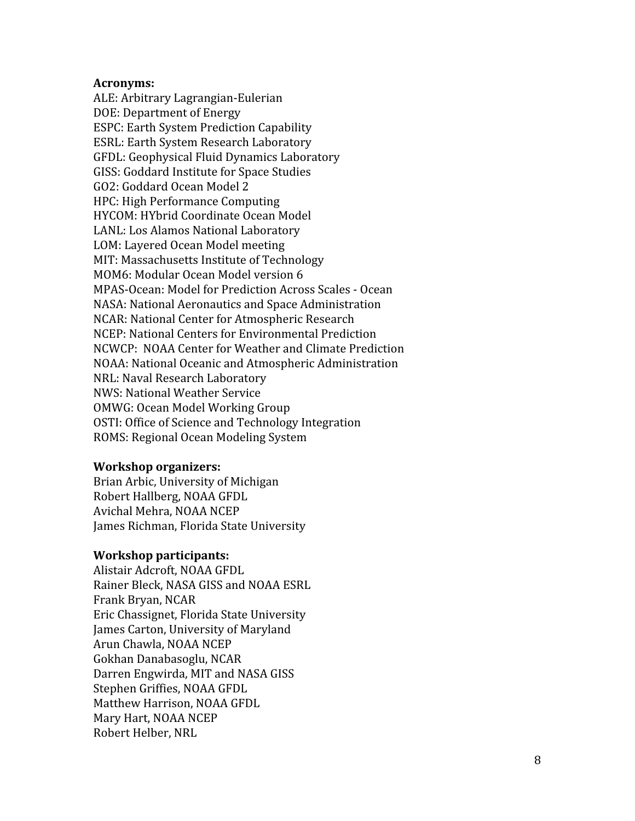#### **Acronyms:**

ALE: Arbitrary Lagrangian-Eulerian DOE: Department of Energy ESPC: Earth System Prediction Capability ESRL: Earth System Research Laboratory GFDL: Geophysical Fluid Dynamics Laboratory GISS: Goddard Institute for Space Studies GO2: Goddard Ocean Model 2 HPC: High Performance Computing HYCOM: HYbrid Coordinate Ocean Model LANL: Los Alamos National Laboratory LOM: Layered Ocean Model meeting MIT: Massachusetts Institute of Technology MOM6: Modular Ocean Model version 6 MPAS-Ocean: Model for Prediction Across Scales - Ocean NASA: National Aeronautics and Space Administration NCAR: National Center for Atmospheric Research NCEP: National Centers for Environmental Prediction NCWCP: NOAA Center for Weather and Climate Prediction NOAA: National Oceanic and Atmospheric Administration NRL: Naval Research Laboratory NWS: National Weather Service OMWG: Ocean Model Working Group OSTI: Office of Science and Technology Integration ROMS: Regional Ocean Modeling System

#### **Workshop organizers:**

Brian Arbic, University of Michigan Robert Hallberg, NOAA GFDL Avichal Mehra, NOAA NCEP James Richman, Florida State University

#### **Workshop participants:**

Alistair Adcroft, NOAA GFDL Rainer Bleck, NASA GISS and NOAA ESRL Frank Bryan, NCAR Eric Chassignet, Florida State University James Carton, University of Maryland Arun Chawla, NOAA NCEP Gokhan Danabasoglu, NCAR Darren Engwirda, MIT and NASA GISS Stephen Griffies, NOAA GFDL Matthew Harrison, NOAA GFDL Mary Hart, NOAA NCEP Robert Helber, NRL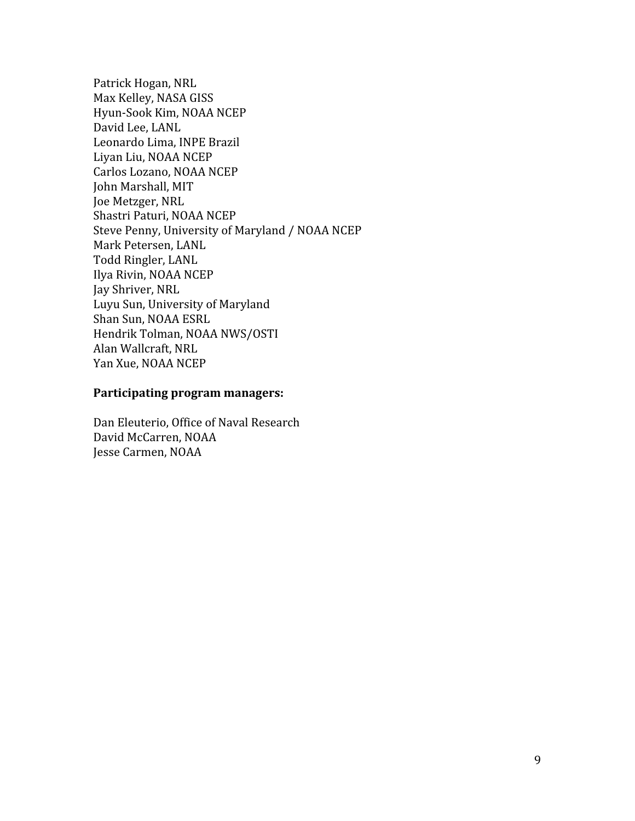Patrick Hogan, NRL Max Kelley, NASA GISS Hyun-Sook Kim, NOAA NCEP David Lee, LANL Leonardo Lima, INPE Brazil Liyan Liu, NOAA NCEP Carlos Lozano, NOAA NCEP John Marshall, MIT Joe Metzger, NRL Shastri Paturi, NOAA NCEP Steve Penny, University of Maryland / NOAA NCEP Mark Petersen, LANL Todd Ringler, LANL Ilya Rivin, NOAA NCEP Jay Shriver, NRL Luyu Sun, University of Maryland Shan Sun, NOAA ESRL Hendrik Tolman, NOAA NWS/OSTI Alan Wallcraft, NRL Yan Xue, NOAA NCEP

#### **Participating program managers:**

Dan Eleuterio, Office of Naval Research David McCarren, NOAA Jesse Carmen, NOAA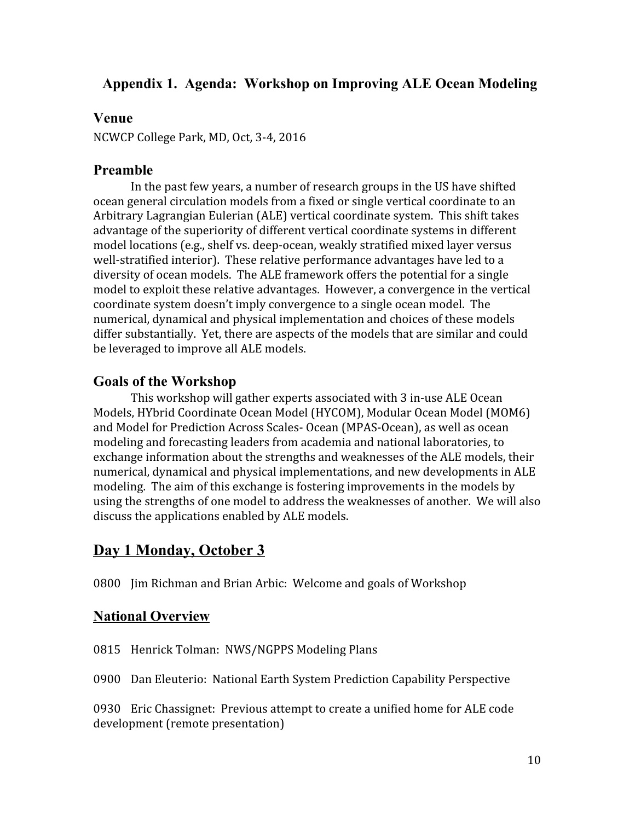# **Appendix 1. Agenda: Workshop on Improving ALE Ocean Modeling**

## **Venue**

NCWCP College Park, MD, Oct, 3-4, 2016

# **Preamble**

In the past few years, a number of research groups in the US have shifted ocean general circulation models from a fixed or single vertical coordinate to an Arbitrary Lagrangian Eulerian (ALE) vertical coordinate system. This shift takes advantage of the superiority of different vertical coordinate systems in different model locations (e.g., shelf vs. deep-ocean, weakly stratified mixed layer versus well-stratified interior). These relative performance advantages have led to a diversity of ocean models. The ALE framework offers the potential for a single model to exploit these relative advantages. However, a convergence in the vertical coordinate system doesn't imply convergence to a single ocean model. The numerical, dynamical and physical implementation and choices of these models differ substantially. Yet, there are aspects of the models that are similar and could be leveraged to improve all ALE models.

# **Goals of the Workshop**

This workshop will gather experts associated with 3 in-use ALE Ocean Models, HYbrid Coordinate Ocean Model (HYCOM), Modular Ocean Model (MOM6) and Model for Prediction Across Scales- Ocean (MPAS-Ocean), as well as ocean modeling and forecasting leaders from academia and national laboratories, to exchange information about the strengths and weaknesses of the ALE models, their numerical, dynamical and physical implementations, and new developments in ALE modeling. The aim of this exchange is fostering improvements in the models by using the strengths of one model to address the weaknesses of another. We will also discuss the applications enabled by ALE models.

# **Day 1 Monday, October 3**

0800 Jim Richman and Brian Arbic: Welcome and goals of Workshop

# **National Overview**

0815 Henrick Tolman: NWS/NGPPS Modeling Plans

0900 Dan Eleuterio: National Earth System Prediction Capability Perspective

0930 Eric Chassignet: Previous attempt to create a unified home for ALE code development (remote presentation)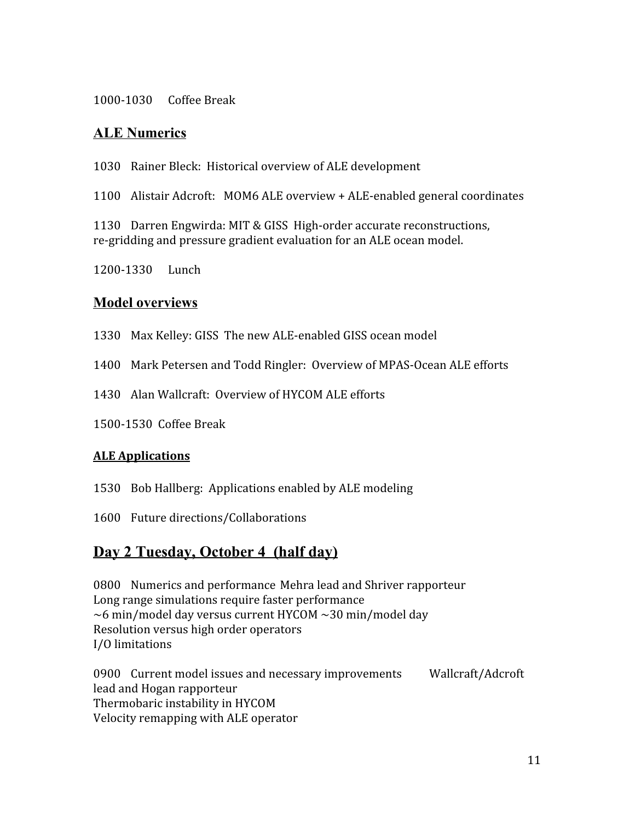1000-1030 Coffee Break

# **ALE Numerics**

1030 Rainer Bleck: Historical overview of ALE development

1100 Alistair Adcroft: MOM6 ALE overview + ALE-enabled general coordinates

1130 Darren Engwirda: MIT & GISS High-order accurate reconstructions, re-gridding and pressure gradient evaluation for an ALE ocean model.

1200-1330 Lunch

## **Model overviews**

- 1330 Max Kelley: GISS The new ALE-enabled GISS ocean model
- 1400 Mark Petersen and Todd Ringler: Overview of MPAS-Ocean ALE efforts
- 1430 Alan Wallcraft: Overview of HYCOM ALE efforts
- 1500-1530 Coffee Break

## **ALE Applications**

- 1530 Bob Hallberg: Applications enabled by ALE modeling
- 1600 Future directions/Collaborations

# **Day 2 Tuesday, October 4 (half day)**

0800 Numerics and performance Mehra lead and Shriver rapporteur Long range simulations require faster performance ~6 min/model day versus current HYCOM ~30 min/model day Resolution versus high order operators I/O limitations

0900 Current model issues and necessary improvements Wallcraft/Adcroft lead and Hogan rapporteur Thermobaric instability in HYCOM Velocity remapping with ALE operator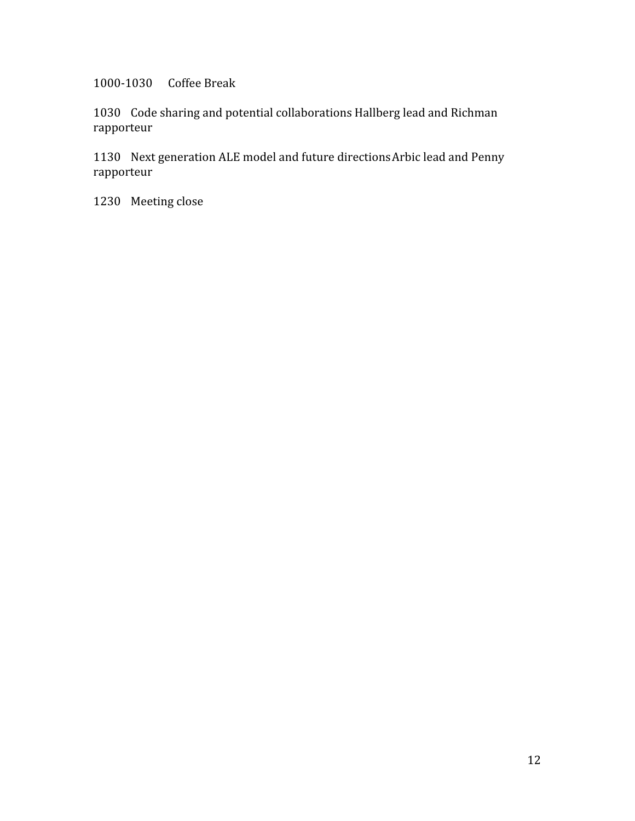1000-1030 Coffee Break

1030 Code sharing and potential collaborations Hallberg lead and Richman rapporteur

1130 Next generation ALE model and future directionsArbic lead and Penny rapporteur

1230 Meeting close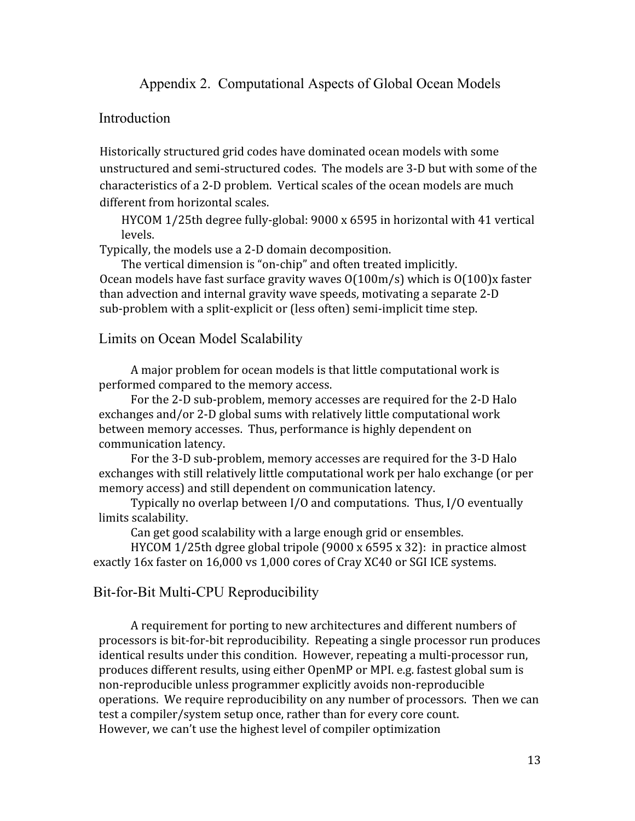Appendix 2. Computational Aspects of Global Ocean Models

## **Introduction**

Historically structured grid codes have dominated ocean models with some unstructured and semi-structured codes. The models are 3-D but with some of the characteristics of a 2-D problem. Vertical scales of the ocean models are much different from horizontal scales.

HYCOM 1/25th degree fully-global: 9000 x 6595 in horizontal with 41 vertical levels.

Typically, the models use a 2-D domain decomposition.

The vertical dimension is "on-chip" and often treated implicitly. Ocean models have fast surface gravity waves O(100m/s) which is O(100)x faster than advection and internal gravity wave speeds, motivating a separate 2-D sub-problem with a split-explicit or (less often) semi-implicit time step.

Limits on Ocean Model Scalability

A major problem for ocean models is that little computational work is performed compared to the memory access.

For the 2-D sub-problem, memory accesses are required for the 2-D Halo exchanges and/or 2-D global sums with relatively little computational work between memory accesses. Thus, performance is highly dependent on communication latency.

For the 3-D sub-problem, memory accesses are required for the 3-D Halo exchanges with still relatively little computational work per halo exchange (or per memory access) and still dependent on communication latency.

Typically no overlap between I/O and computations. Thus, I/O eventually limits scalability.

Can get good scalability with a large enough grid or ensembles.

HYCOM 1/25th dgree global tripole (9000 x 6595 x 32): in practice almost exactly 16x faster on 16,000 vs 1,000 cores of Cray XC40 or SGI ICE systems.

## Bit-for-Bit Multi-CPU Reproducibility

A requirement for porting to new architectures and different numbers of processors is bit-for-bit reproducibility. Repeating a single processor run produces identical results under this condition. However, repeating a multi-processor run, produces different results, using either OpenMP or MPI. e.g. fastest global sum is non-reproducible unless programmer explicitly avoids non-reproducible operations. We require reproducibility on any number of processors. Then we can test a compiler/system setup once, rather than for every core count. However, we can't use the highest level of compiler optimization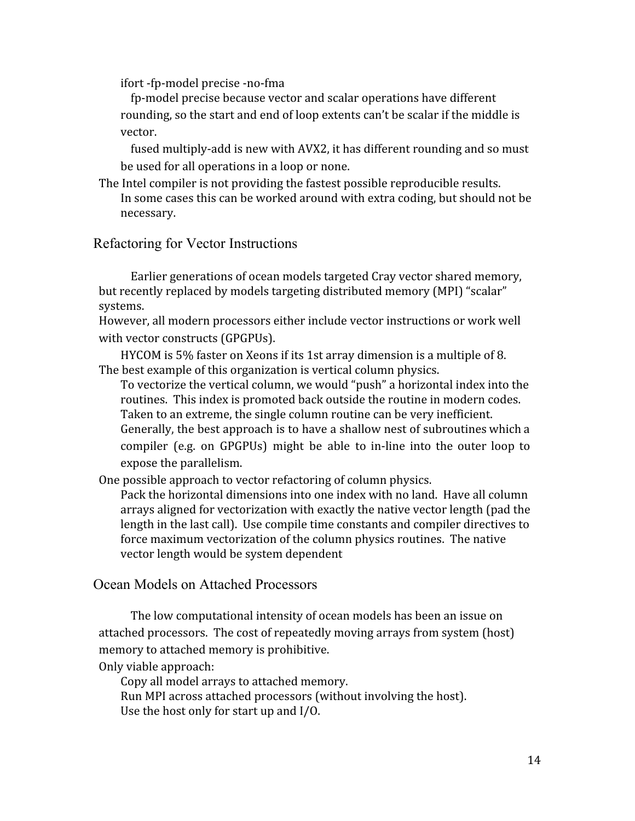ifort -fp-model precise -no-fma

fp-model precise because vector and scalar operations have different rounding, so the start and end of loop extents can't be scalar if the middle is vector.

fused multiply-add is new with AVX2, it has different rounding and so must be used for all operations in a loop or none.

The Intel compiler is not providing the fastest possible reproducible results. In some cases this can be worked around with extra coding, but should not be necessary.

#### Refactoring for Vector Instructions

Earlier generations of ocean models targeted Cray vector shared memory, but recently replaced by models targeting distributed memory (MPI) "scalar" systems.

However, all modern processors either include vector instructions or work well with vector constructs (GPGPUs).

HYCOM is 5% faster on Xeons if its 1st array dimension is a multiple of 8. The best example of this organization is vertical column physics.

To vectorize the vertical column, we would "push" a horizontal index into the routines. This index is promoted back outside the routine in modern codes. Taken to an extreme, the single column routine can be very inefficient. Generally, the best approach is to have a shallow nest of subroutines which a compiler (e.g. on GPGPUs) might be able to in-line into the outer loop to expose the parallelism.

One possible approach to vector refactoring of column physics.

Pack the horizontal dimensions into one index with no land. Have all column arrays aligned for vectorization with exactly the native vector length (pad the length in the last call). Use compile time constants and compiler directives to force maximum vectorization of the column physics routines. The native vector length would be system dependent

## Ocean Models on Attached Processors

The low computational intensity of ocean models has been an issue on attached processors. The cost of repeatedly moving arrays from system (host) memory to attached memory is prohibitive.

Only viable approach:

Copy all model arrays to attached memory.

Run MPI across attached processors (without involving the host).

Use the host only for start up and I/O.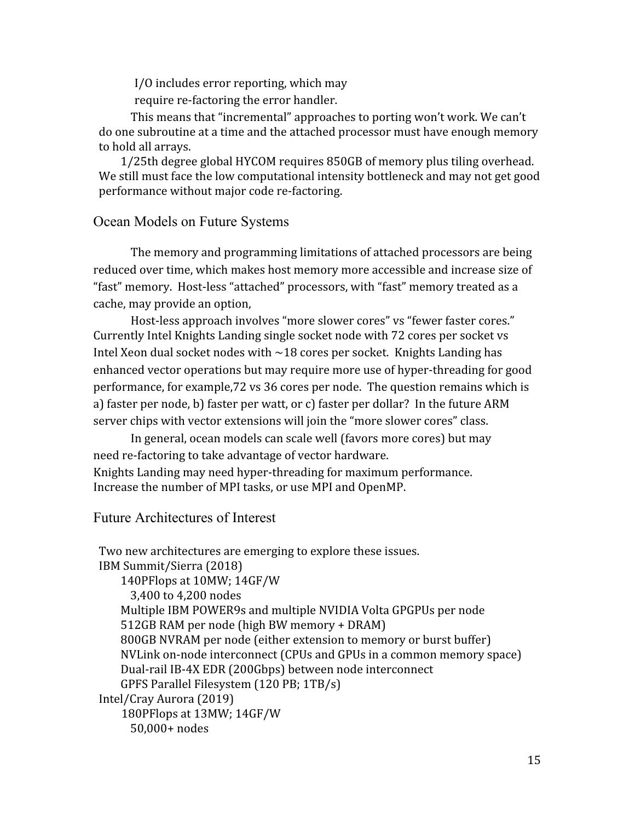I/O includes error reporting, which may

require re-factoring the error handler.

This means that "incremental" approaches to porting won't work. We can't do one subroutine at a time and the attached processor must have enough memory to hold all arrays.

1/25th degree global HYCOM requires 850GB of memory plus tiling overhead. We still must face the low computational intensity bottleneck and may not get good performance without major code re-factoring.

# Ocean Models on Future Systems

The memory and programming limitations of attached processors are being reduced over time, which makes host memory more accessible and increase size of "fast" memory. Host-less "attached" processors, with "fast" memory treated as a cache, may provide an option,

Host-less approach involves "more slower cores" vs "fewer faster cores." Currently Intel Knights Landing single socket node with 72 cores per socket vs Intel Xeon dual socket nodes with  $\sim$ 18 cores per socket. Knights Landing has enhanced vector operations but may require more use of hyper-threading for good performance, for example,72 vs 36 cores per node. The question remains which is a) faster per node, b) faster per watt, or c) faster per dollar? In the future ARM server chips with vector extensions will join the "more slower cores" class.

In general, ocean models can scale well (favors more cores) but may need re-factoring to take advantage of vector hardware. Knights Landing may need hyper-threading for maximum performance. Increase the number of MPI tasks, or use MPI and OpenMP.

## Future Architectures of Interest

Two new architectures are emerging to explore these issues. IBM Summit/Sierra (2018) 140PFlops at 10MW; 14GF/W 3,400 to 4,200 nodes Multiple IBM POWER9s and multiple NVIDIA Volta GPGPUs per node 512GB RAM per node (high BW memory + DRAM) 800GB NVRAM per node (either extension to memory or burst buffer) NVLink on-node interconnect (CPUs and GPUs in a common memory space) Dual-rail IB-4X EDR (200Gbps) between node interconnect GPFS Parallel Filesystem (120 PB; 1TB/s) Intel/Cray Aurora (2019) 180PFlops at 13MW; 14GF/W 50,000+ nodes